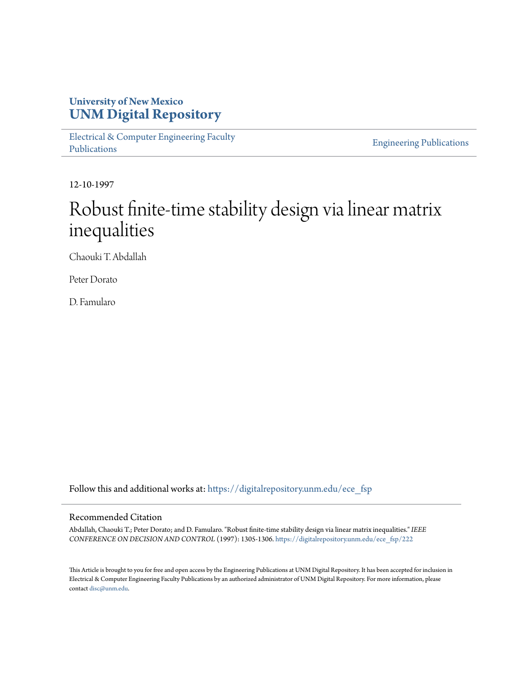## **University of New Mexico [UNM Digital Repository](https://digitalrepository.unm.edu?utm_source=digitalrepository.unm.edu%2Fece_fsp%2F222&utm_medium=PDF&utm_campaign=PDFCoverPages)**

[Electrical & Computer Engineering Faculty](https://digitalrepository.unm.edu/ece_fsp?utm_source=digitalrepository.unm.edu%2Fece_fsp%2F222&utm_medium=PDF&utm_campaign=PDFCoverPages) [Publications](https://digitalrepository.unm.edu/ece_fsp?utm_source=digitalrepository.unm.edu%2Fece_fsp%2F222&utm_medium=PDF&utm_campaign=PDFCoverPages)

[Engineering Publications](https://digitalrepository.unm.edu/eng_fsp?utm_source=digitalrepository.unm.edu%2Fece_fsp%2F222&utm_medium=PDF&utm_campaign=PDFCoverPages)

12-10-1997

# Robust finite-time stability design via linear matrix inequalities

Chaouki T. Abdallah

Peter Dorato

D. Famularo

Follow this and additional works at: [https://digitalrepository.unm.edu/ece\\_fsp](https://digitalrepository.unm.edu/ece_fsp?utm_source=digitalrepository.unm.edu%2Fece_fsp%2F222&utm_medium=PDF&utm_campaign=PDFCoverPages)

### Recommended Citation

Abdallah, Chaouki T.; Peter Dorato; and D. Famularo. "Robust finite-time stability design via linear matrix inequalities." *IEEE CONFERENCE ON DECISION AND CONTROL* (1997): 1305-1306. [https://digitalrepository.unm.edu/ece\\_fsp/222](https://digitalrepository.unm.edu/ece_fsp/222?utm_source=digitalrepository.unm.edu%2Fece_fsp%2F222&utm_medium=PDF&utm_campaign=PDFCoverPages)

This Article is brought to you for free and open access by the Engineering Publications at UNM Digital Repository. It has been accepted for inclusion in Electrical & Computer Engineering Faculty Publications by an authorized administrator of UNM Digital Repository. For more information, please contact [disc@unm.edu.](mailto:disc@unm.edu)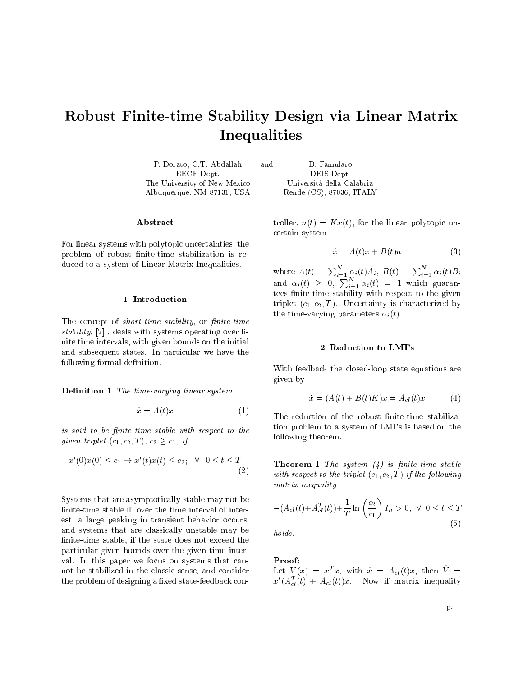## Robust Finite-time Stability Design via Linear Matrix Inequalities

P. Dorato, C.T. Abdallah and D. Famularo EECE Dept. DEIS Dept. The University of New Mexico Universita della Calabria Albuquerque, NM 87131, USA Rende (CS), 87036, ITALY

Abstract

For linear systems with polytopic uncertainties, the problem of robust finite-time stabilization is reduced to a system of Linear Matrix Inequalities.

#### 1 Introduction

The concept of *short-time stability*, or *finite-time* stability,  $[2]$ , deals with systems operating over finite time intervals, with given bounds on the initial and subsequent states. In particular we have the following formal definition.

**Definition 1** The time-varying linear system

$$
\dot{x} = A(t)x \tag{1}
$$

is said to be finite-time stable with respect to the given triplet  $(c_1, c_2, T)$ ,  $c_2 \geq c_1$ , if

$$
x'(0)x(0) \le c_1 \to x'(t)x(t) \le c_2; \quad \forall \quad 0 \le t \le T
$$
\n<sup>(2)</sup>

Systems that are asymptotically stable may not be finite-time stable if, over the time interval of interest, a large peaking in transient behavior occurs; and systems that are classically unstable may be nite-time stable, if the state does not exceed the particular given bounds over the given time interval. In this paper we focus on systems that cannot be stabilized in the classic sense, and consider the problem of designing a fixed state-feedback con-

troller,  $u(t) = Kx(t)$ , for the linear polytopic uncertain system

$$
\dot{x} = A(t)x + B(t)u \tag{3}
$$

where  $A(t) = \sum_{i=1}^{N} \alpha_i(t) A_i, B(t) = \sum_{i=1}^{N} \alpha_i(t) B_i$ and  $\alpha_i(t) \geq 0, \sum_{i=1}^N \alpha_i(t) = 1$  which guarantees nite-time stability with respect to the given triplet  $(c_1, c_2, T)$ . Uncertainty is characterized by the time-varying parameters  $\alpha_i(t)$ 

#### 2 Reduction to LMI's

With feedback the closed-loop state equations are given by

$$
\dot{x} = (A(t) + B(t)K)x = A_{cl}(t)x \tag{4}
$$

The reduction of the robust finite-time stabilization problem to a system of LMI's is based on the following theorem.

**Theorem 1** The system  $(4)$  is finite-time stable with respect to the triplet  $(c_1, c_2, T)$  if the following matrix inequality

$$
-(A_{cl}(t) + A_{cl}^T(t)) + \frac{1}{T} \ln \left(\frac{c_2}{c_1}\right) I_n > 0, \ \forall \ 0 \le t \le T
$$
\n(5)

holds.

#### Proof:

Let  $V(x) = x^T x$ , with  $\dot{x} = A_{cl}(t)x$ , then  $\dot{V} =$  $x^t(A_{cl}^T(t) + A_{cl}(t))x$ . Now if matrix inequality

p. 1